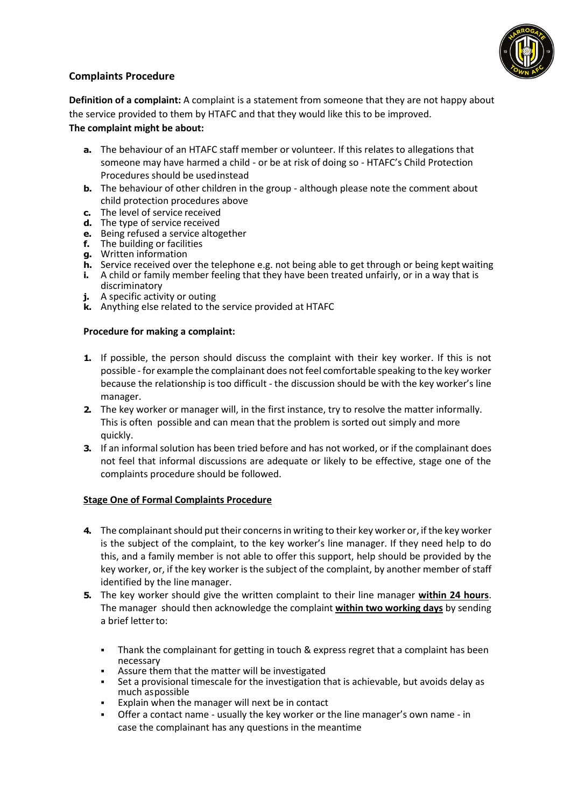

# **Complaints Procedure**

**Definition of a complaint:** A complaint is a statement from someone that they are not happy about the service provided to them by HTAFC and that they would like this to be improved. **The complaint might be about:**

- **a.** The behaviour of an HTAFC staff member or volunteer. If this relates to allegations that someone may have harmed a child - or be at risk of doing so - HTAFC's Child Protection Procedures should be usedinstead
- **b.** The behaviour of other children in the group although please note the comment about child protection procedures above
- **c.** The level of service received
- **d.** The type of service received
- **e.** Being refused a service altogether
- **f.** The building or facilities
- **g.** Written information
- **h.** Service received over the telephone e.g. not being able to get through or being kept waiting **i.** A child or family member feeling that they have been treated unfairly, or in a way that is
- discriminatory
- **j.** A specific activity or outing
- **k.** Anything else related to the service provided at HTAFC

## **Procedure for making a complaint:**

- **1.** If possible, the person should discuss the complaint with their key worker. If this is not possible - for example the complainant does not feel comfortable speaking to the key worker because the relationship is too difficult - the discussion should be with the key worker's line manager.
- **2.** The key worker or manager will, in the first instance, try to resolve the matter informally. This is often possible and can mean that the problem is sorted out simply and more quickly.
- **3.** If an informal solution has been tried before and has not worked, or if the complainant does not feel that informal discussions are adequate or likely to be effective, stage one of the complaints procedure should be followed.

## **Stage One of Formal Complaints Procedure**

- **4.** The complainant should put their concerns in writing to their key worker or, if the key worker is the subject of the complaint, to the key worker's line manager. If they need help to do this, and a family member is not able to offer this support, help should be provided by the key worker, or, if the key worker is the subject of the complaint, by another member of staff identified by the line manager.
- **5.** The key worker should give the written complaint to their line manager **within 24 hours**. The manager should then acknowledge the complaint **within two working days** by sending a brief letterto:
	- **•** Thank the complainant for getting in touch & express regret that a complaint has been necessary
	- Assure them that the matter will be investigated
	- Set a provisional timescale for the investigation that is achievable, but avoids delay as much aspossible
	- Explain when the manager will next be in contact
	- Offer a contact name usually the key worker or the line manager's own name in case the complainant has any questions in the meantime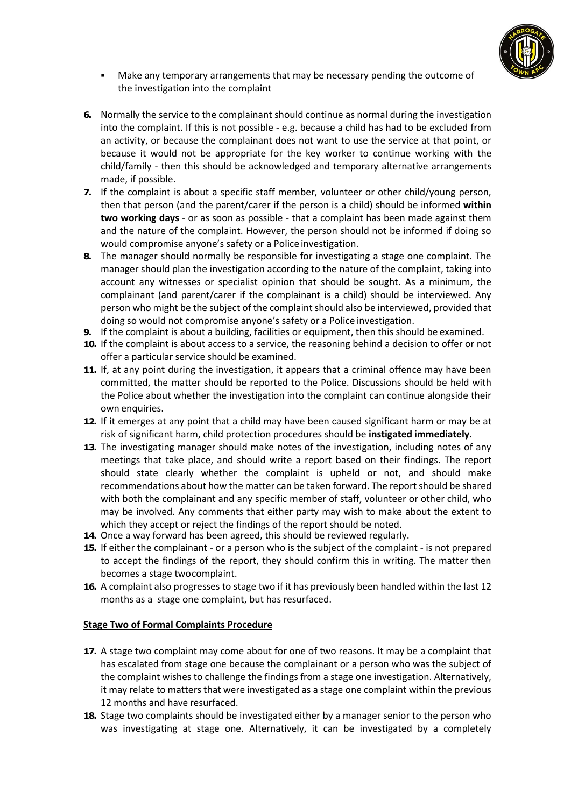

- Make any temporary arrangements that may be necessary pending the outcome of the investigation into the complaint
- **6.** Normally the service to the complainant should continue as normal during the investigation into the complaint. If this is not possible - e.g. because a child has had to be excluded from an activity, or because the complainant does not want to use the service at that point, or because it would not be appropriate for the key worker to continue working with the child/family - then this should be acknowledged and temporary alternative arrangements made, if possible.
- **7.** If the complaint is about a specific staff member, volunteer or other child/young person, then that person (and the parent/carer if the person is a child) should be informed **within two working days** - or as soon as possible - that a complaint has been made against them and the nature of the complaint. However, the person should not be informed if doing so would compromise anyone's safety or a Police investigation.
- **8.** The manager should normally be responsible for investigating a stage one complaint. The manager should plan the investigation according to the nature of the complaint, taking into account any witnesses or specialist opinion that should be sought. As a minimum, the complainant (and parent/carer if the complainant is a child) should be interviewed. Any person who might be the subject of the complaint should also be interviewed, provided that doing so would not compromise anyone's safety or a Police investigation.
- **9.** If the complaint is about a building, facilities or equipment, then this should be examined.
- **10.** If the complaint is about access to a service, the reasoning behind a decision to offer or not offer a particular service should be examined.
- **11.** If, at any point during the investigation, it appears that a criminal offence may have been committed, the matter should be reported to the Police. Discussions should be held with the Police about whether the investigation into the complaint can continue alongside their own enquiries.
- **12.** If it emerges at any point that a child may have been caused significant harm or may be at risk of significant harm, child protection procedures should be **instigated immediately**.
- **13.** The investigating manager should make notes of the investigation, including notes of any meetings that take place, and should write a report based on their findings. The report should state clearly whether the complaint is upheld or not, and should make recommendations about how the matter can be taken forward. The report should be shared with both the complainant and any specific member of staff, volunteer or other child, who may be involved. Any comments that either party may wish to make about the extent to which they accept or reject the findings of the report should be noted.
- **14.** Once a way forward has been agreed, this should be reviewed regularly.
- **15.** If either the complainant or a person who is the subject of the complaint is not prepared to accept the findings of the report, they should confirm this in writing. The matter then becomes a stage twocomplaint.
- **16.** A complaint also progresses to stage two if it has previously been handled within the last 12 months as a stage one complaint, but has resurfaced.

## **Stage Two of Formal Complaints Procedure**

- **17.** A stage two complaint may come about for one of two reasons. It may be a complaint that has escalated from stage one because the complainant or a person who was the subject of the complaint wishes to challenge the findings from a stage one investigation. Alternatively, it may relate to matters that were investigated as a stage one complaint within the previous 12 months and have resurfaced.
- **18.** Stage two complaints should be investigated either by a manager senior to the person who was investigating at stage one. Alternatively, it can be investigated by a completely